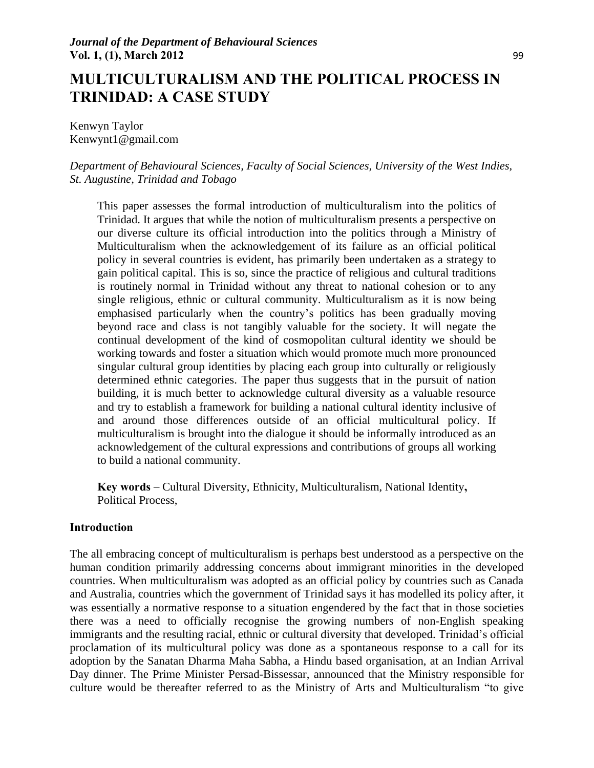# **MULTICULTURALISM AND THE POLITICAL PROCESS IN TRINIDAD: A CASE STUDY**

Kenwyn Taylor Kenwynt1@gmail.com

*Department of Behavioural Sciences, Faculty of Social Sciences, University of the West Indies, St. Augustine, Trinidad and Tobago* 

This paper assesses the formal introduction of multiculturalism into the politics of Trinidad. It argues that while the notion of multiculturalism presents a perspective on our diverse culture its official introduction into the politics through a Ministry of Multiculturalism when the acknowledgement of its failure as an official political policy in several countries is evident, has primarily been undertaken as a strategy to gain political capital. This is so, since the practice of religious and cultural traditions is routinely normal in Trinidad without any threat to national cohesion or to any single religious, ethnic or cultural community. Multiculturalism as it is now being emphasised particularly when the country's politics has been gradually moving beyond race and class is not tangibly valuable for the society. It will negate the continual development of the kind of cosmopolitan cultural identity we should be working towards and foster a situation which would promote much more pronounced singular cultural group identities by placing each group into culturally or religiously determined ethnic categories. The paper thus suggests that in the pursuit of nation building, it is much better to acknowledge cultural diversity as a valuable resource and try to establish a framework for building a national cultural identity inclusive of and around those differences outside of an official multicultural policy. If multiculturalism is brought into the dialogue it should be informally introduced as an acknowledgement of the cultural expressions and contributions of groups all working to build a national community.

**Key words** – Cultural Diversity, Ethnicity, Multiculturalism, National Identity**,** Political Process,

#### **Introduction**

The all embracing concept of multiculturalism is perhaps best understood as a perspective on the human condition primarily addressing concerns about immigrant minorities in the developed countries. When multiculturalism was adopted as an official policy by countries such as Canada and Australia, countries which the government of Trinidad says it has modelled its policy after, it was essentially a normative response to a situation engendered by the fact that in those societies there was a need to officially recognise the growing numbers of non-English speaking immigrants and the resulting racial, ethnic or cultural diversity that developed. Trinidad's official proclamation of its multicultural policy was done as a spontaneous response to a call for its adoption by the Sanatan Dharma Maha Sabha, a Hindu based organisation, at an Indian Arrival Day dinner. The Prime Minister Persad-Bissessar, announced that the Ministry responsible for culture would be thereafter referred to as the Ministry of Arts and Multiculturalism "to give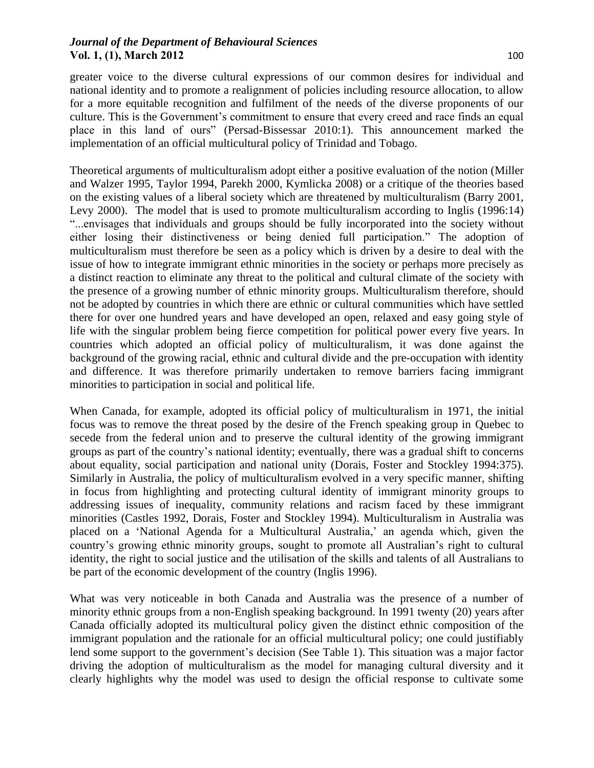greater voice to the diverse cultural expressions of our common desires for individual and national identity and to promote a realignment of policies including resource allocation, to allow for a more equitable recognition and fulfilment of the needs of the diverse proponents of our culture. This is the Government's commitment to ensure that every creed and race finds an equal place in this land of ours" (Persad-Bissessar 2010:1). This announcement marked the implementation of an official multicultural policy of Trinidad and Tobago.

Theoretical arguments of multiculturalism adopt either a positive evaluation of the notion (Miller and Walzer 1995, Taylor 1994, Parekh 2000, Kymlicka 2008) or a critique of the theories based on the existing values of a liberal society which are threatened by multiculturalism (Barry 2001, Levy 2000). The model that is used to promote multiculturalism according to Inglis (1996:14) "...envisages that individuals and groups should be fully incorporated into the society without either losing their distinctiveness or being denied full participation." The adoption of multiculturalism must therefore be seen as a policy which is driven by a desire to deal with the issue of how to integrate immigrant ethnic minorities in the society or perhaps more precisely as a distinct reaction to eliminate any threat to the political and cultural climate of the society with the presence of a growing number of ethnic minority groups. Multiculturalism therefore, should not be adopted by countries in which there are ethnic or cultural communities which have settled there for over one hundred years and have developed an open, relaxed and easy going style of life with the singular problem being fierce competition for political power every five years. In countries which adopted an official policy of multiculturalism, it was done against the background of the growing racial, ethnic and cultural divide and the pre-occupation with identity and difference. It was therefore primarily undertaken to remove barriers facing immigrant minorities to participation in social and political life.

When Canada, for example, adopted its official policy of multiculturalism in 1971, the initial focus was to remove the threat posed by the desire of the French speaking group in Quebec to secede from the federal union and to preserve the cultural identity of the growing immigrant groups as part of the country's national identity; eventually, there was a gradual shift to concerns about equality, social participation and national unity (Dorais, Foster and Stockley 1994:375). Similarly in Australia, the policy of multiculturalism evolved in a very specific manner, shifting in focus from highlighting and protecting cultural identity of immigrant minority groups to addressing issues of inequality, community relations and racism faced by these immigrant minorities (Castles 1992, Dorais, Foster and Stockley 1994). Multiculturalism in Australia was placed on a 'National Agenda for a Multicultural Australia,' an agenda which, given the country's growing ethnic minority groups, sought to promote all Australian's right to cultural identity, the right to social justice and the utilisation of the skills and talents of all Australians to be part of the economic development of the country (Inglis 1996).

What was very noticeable in both Canada and Australia was the presence of a number of minority ethnic groups from a non-English speaking background. In 1991 twenty (20) years after Canada officially adopted its multicultural policy given the distinct ethnic composition of the immigrant population and the rationale for an official multicultural policy; one could justifiably lend some support to the government's decision (See Table 1). This situation was a major factor driving the adoption of multiculturalism as the model for managing cultural diversity and it clearly highlights why the model was used to design the official response to cultivate some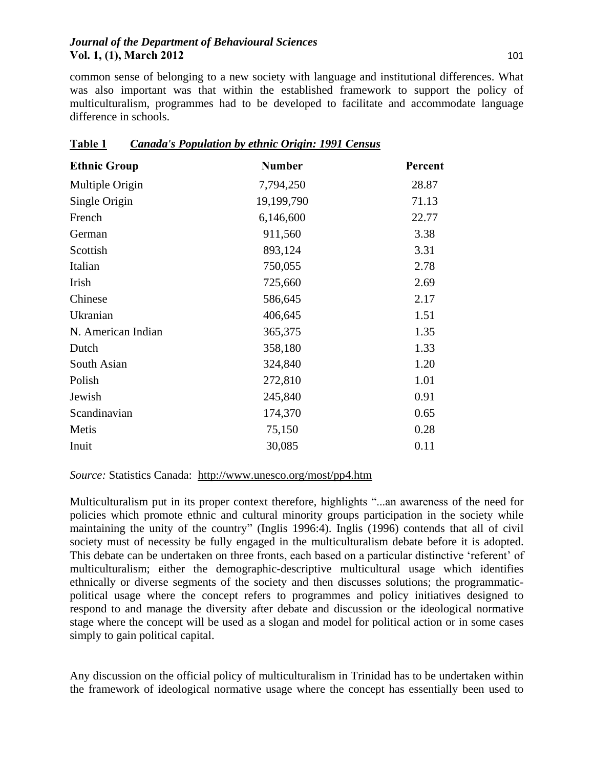common sense of belonging to a new society with language and institutional differences. What was also important was that within the established framework to support the policy of multiculturalism, programmes had to be developed to facilitate and accommodate language difference in schools.

| <b>Ethnic Group</b> | <b>Number</b> | Percent |
|---------------------|---------------|---------|
| Multiple Origin     | 7,794,250     | 28.87   |
| Single Origin       | 19,199,790    | 71.13   |
| French              | 6,146,600     | 22.77   |
| German              | 911,560       | 3.38    |
| Scottish            | 893,124       | 3.31    |
| Italian             | 750,055       | 2.78    |
| Irish               | 725,660       | 2.69    |
| Chinese             | 586,645       | 2.17    |
| Ukranian            | 406,645       | 1.51    |
| N. American Indian  | 365,375       | 1.35    |
| Dutch               | 358,180       | 1.33    |
| South Asian         | 324,840       | 1.20    |
| Polish              | 272,810       | 1.01    |
| Jewish              | 245,840       | 0.91    |
| Scandinavian        | 174,370       | 0.65    |
| Metis               | 75,150        | 0.28    |
| Inuit               | 30,085        | 0.11    |

| <b>Table 1</b> | Canada's Population by ethnic Origin: 1991 Census |
|----------------|---------------------------------------------------|
|                |                                                   |

#### *Source:* Statistics Canada: <http://www.unesco.org/most/pp4.htm>

Multiculturalism put in its proper context therefore, highlights "...an awareness of the need for policies which promote ethnic and cultural minority groups participation in the society while maintaining the unity of the country" (Inglis 1996:4). Inglis (1996) contends that all of civil society must of necessity be fully engaged in the multiculturalism debate before it is adopted. This debate can be undertaken on three fronts, each based on a particular distinctive 'referent' of multiculturalism; either the demographic-descriptive multicultural usage which identifies ethnically or diverse segments of the society and then discusses solutions; the programmaticpolitical usage where the concept refers to programmes and policy initiatives designed to respond to and manage the diversity after debate and discussion or the ideological normative stage where the concept will be used as a slogan and model for political action or in some cases simply to gain political capital.

Any discussion on the official policy of multiculturalism in Trinidad has to be undertaken within the framework of ideological normative usage where the concept has essentially been used to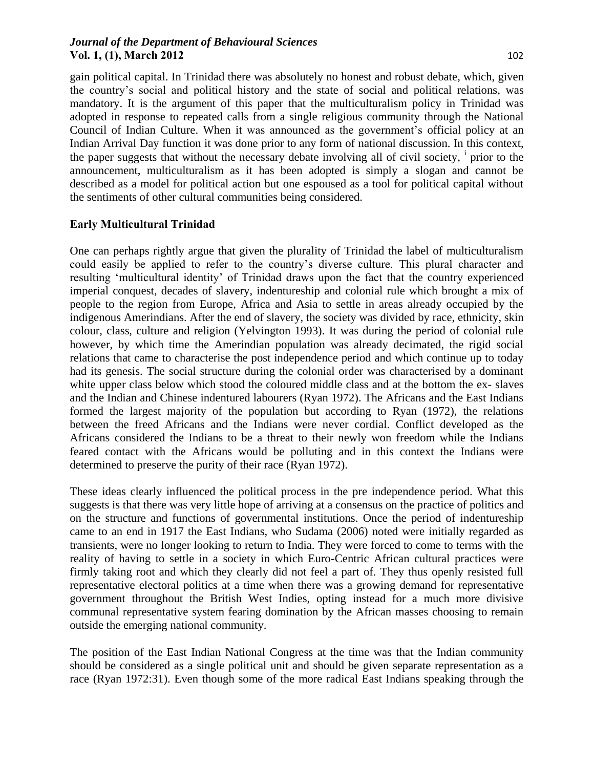gain political capital. In Trinidad there was absolutely no honest and robust debate, which, given the country's social and political history and the state of social and political relations, was mandatory. It is the argument of this paper that the multiculturalism policy in Trinidad was adopted in response to repeated calls from a single religious community through the National Council of Indian Culture. When it was announced as the government's official policy at an Indian Arrival Day function it was done prior to any form of national discussion. In this context, the paper suggests that without the necessary debate involving all of civil society, <sup>i</sup> prior to the announcement, multiculturalism as it has been adopted is simply a slogan and cannot be described as a model for political action but one espoused as a tool for political capital without the sentiments of other cultural communities being considered.

## **Early Multicultural Trinidad**

One can perhaps rightly argue that given the plurality of Trinidad the label of multiculturalism could easily be applied to refer to the country's diverse culture. This plural character and resulting 'multicultural identity' of Trinidad draws upon the fact that the country experienced imperial conquest, decades of slavery, indentureship and colonial rule which brought a mix of people to the region from Europe, Africa and Asia to settle in areas already occupied by the indigenous Amerindians. After the end of slavery, the society was divided by race, ethnicity, skin colour, class, culture and religion (Yelvington 1993). It was during the period of colonial rule however, by which time the Amerindian population was already decimated, the rigid social relations that came to characterise the post independence period and which continue up to today had its genesis. The social structure during the colonial order was characterised by a dominant white upper class below which stood the coloured middle class and at the bottom the ex- slaves and the Indian and Chinese indentured labourers (Ryan 1972). The Africans and the East Indians formed the largest majority of the population but according to Ryan (1972), the relations between the freed Africans and the Indians were never cordial. Conflict developed as the Africans considered the Indians to be a threat to their newly won freedom while the Indians feared contact with the Africans would be polluting and in this context the Indians were determined to preserve the purity of their race (Ryan 1972).

These ideas clearly influenced the political process in the pre independence period. What this suggests is that there was very little hope of arriving at a consensus on the practice of politics and on the structure and functions of governmental institutions. Once the period of indentureship came to an end in 1917 the East Indians, who Sudama (2006) noted were initially regarded as transients, were no longer looking to return to India. They were forced to come to terms with the reality of having to settle in a society in which Euro-Centric African cultural practices were firmly taking root and which they clearly did not feel a part of. They thus openly resisted full representative electoral politics at a time when there was a growing demand for representative government throughout the British West Indies, opting instead for a much more divisive communal representative system fearing domination by the African masses choosing to remain outside the emerging national community.

The position of the East Indian National Congress at the time was that the Indian community should be considered as a single political unit and should be given separate representation as a race (Ryan 1972:31). Even though some of the more radical East Indians speaking through the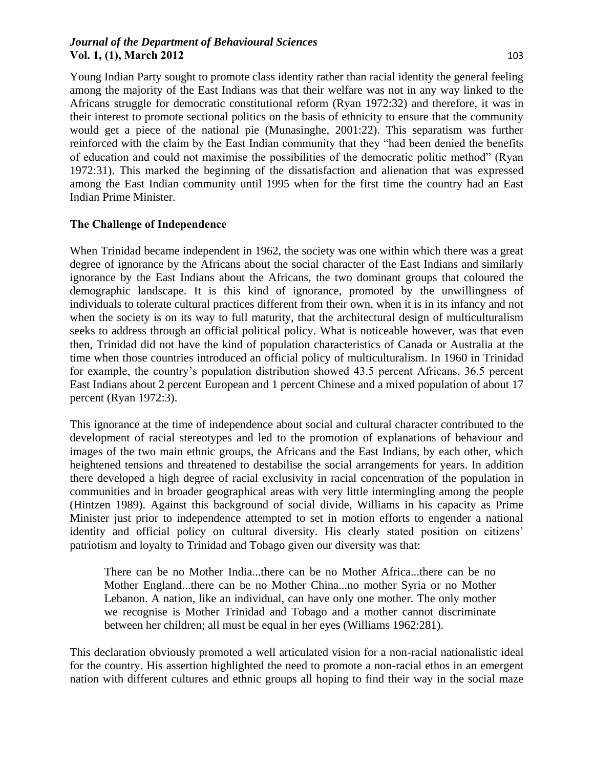Young Indian Party sought to promote class identity rather than racial identity the general feeling among the majority of the East Indians was that their welfare was not in any way linked to the Africans struggle for democratic constitutional reform (Ryan 1972:32) and therefore, it was in their interest to promote sectional politics on the basis of ethnicity to ensure that the community would get a piece of the national pie (Munasinghe, 2001:22). This separatism was further reinforced with the claim by the East Indian community that they "had been denied the benefits of education and could not maximise the possibilities of the democratic politic method" (Ryan 1972:31). This marked the beginning of the dissatisfaction and alienation that was expressed among the East Indian community until 1995 when for the first time the country had an East Indian Prime Minister.

## **The Challenge of Independence**

When Trinidad became independent in 1962, the society was one within which there was a great degree of ignorance by the Africans about the social character of the East Indians and similarly ignorance by the East Indians about the Africans, the two dominant groups that coloured the demographic landscape. It is this kind of ignorance, promoted by the unwillingness of individuals to tolerate cultural practices different from their own, when it is in its infancy and not when the society is on its way to full maturity, that the architectural design of multiculturalism seeks to address through an official political policy. What is noticeable however, was that even then, Trinidad did not have the kind of population characteristics of Canada or Australia at the time when those countries introduced an official policy of multiculturalism. In 1960 in Trinidad for example, the country's population distribution showed 43.5 percent Africans, 36.5 percent East Indians about 2 percent European and 1 percent Chinese and a mixed population of about 17 percent (Ryan 1972:3).

This ignorance at the time of independence about social and cultural character contributed to the development of racial stereotypes and led to the promotion of explanations of behaviour and images of the two main ethnic groups, the Africans and the East Indians, by each other, which heightened tensions and threatened to destabilise the social arrangements for years. In addition there developed a high degree of racial exclusivity in racial concentration of the population in communities and in broader geographical areas with very little intermingling among the people (Hintzen 1989). Against this background of social divide, Williams in his capacity as Prime Minister just prior to independence attempted to set in motion efforts to engender a national identity and official policy on cultural diversity. His clearly stated position on citizens' patriotism and loyalty to Trinidad and Tobago given our diversity was that:

There can be no Mother India...there can be no Mother Africa...there can be no Mother England...there can be no Mother China...no mother Syria or no Mother Lebanon. A nation, like an individual, can have only one mother. The only mother we recognise is Mother Trinidad and Tobago and a mother cannot discriminate between her children; all must be equal in her eyes (Williams 1962:281).

This declaration obviously promoted a well articulated vision for a non-racial nationalistic ideal for the country. His assertion highlighted the need to promote a non-racial ethos in an emergent nation with different cultures and ethnic groups all hoping to find their way in the social maze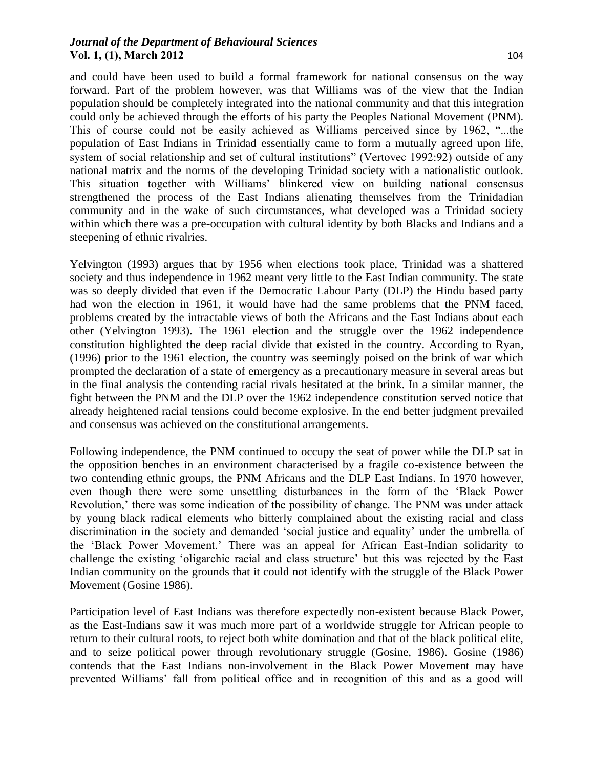and could have been used to build a formal framework for national consensus on the way forward. Part of the problem however, was that Williams was of the view that the Indian population should be completely integrated into the national community and that this integration could only be achieved through the efforts of his party the Peoples National Movement (PNM). This of course could not be easily achieved as Williams perceived since by 1962, "...the population of East Indians in Trinidad essentially came to form a mutually agreed upon life, system of social relationship and set of cultural institutions" (Vertovec 1992:92) outside of any national matrix and the norms of the developing Trinidad society with a nationalistic outlook. This situation together with Williams' blinkered view on building national consensus strengthened the process of the East Indians alienating themselves from the Trinidadian community and in the wake of such circumstances, what developed was a Trinidad society within which there was a pre-occupation with cultural identity by both Blacks and Indians and a steepening of ethnic rivalries.

Yelvington (1993) argues that by 1956 when elections took place, Trinidad was a shattered society and thus independence in 1962 meant very little to the East Indian community. The state was so deeply divided that even if the Democratic Labour Party (DLP) the Hindu based party had won the election in 1961, it would have had the same problems that the PNM faced, problems created by the intractable views of both the Africans and the East Indians about each other (Yelvington 1993). The 1961 election and the struggle over the 1962 independence constitution highlighted the deep racial divide that existed in the country. According to Ryan, (1996) prior to the 1961 election, the country was seemingly poised on the brink of war which prompted the declaration of a state of emergency as a precautionary measure in several areas but in the final analysis the contending racial rivals hesitated at the brink. In a similar manner, the fight between the PNM and the DLP over the 1962 independence constitution served notice that already heightened racial tensions could become explosive. In the end better judgment prevailed and consensus was achieved on the constitutional arrangements.

Following independence, the PNM continued to occupy the seat of power while the DLP sat in the opposition benches in an environment characterised by a fragile co-existence between the two contending ethnic groups, the PNM Africans and the DLP East Indians. In 1970 however, even though there were some unsettling disturbances in the form of the 'Black Power Revolution,' there was some indication of the possibility of change. The PNM was under attack by young black radical elements who bitterly complained about the existing racial and class discrimination in the society and demanded 'social justice and equality' under the umbrella of the 'Black Power Movement.' There was an appeal for African East-Indian solidarity to challenge the existing 'oligarchic racial and class structure' but this was rejected by the East Indian community on the grounds that it could not identify with the struggle of the Black Power Movement (Gosine 1986).

Participation level of East Indians was therefore expectedly non-existent because Black Power, as the East-Indians saw it was much more part of a worldwide struggle for African people to return to their cultural roots, to reject both white domination and that of the black political elite, and to seize political power through revolutionary struggle (Gosine, 1986). Gosine (1986) contends that the East Indians non-involvement in the Black Power Movement may have prevented Williams' fall from political office and in recognition of this and as a good will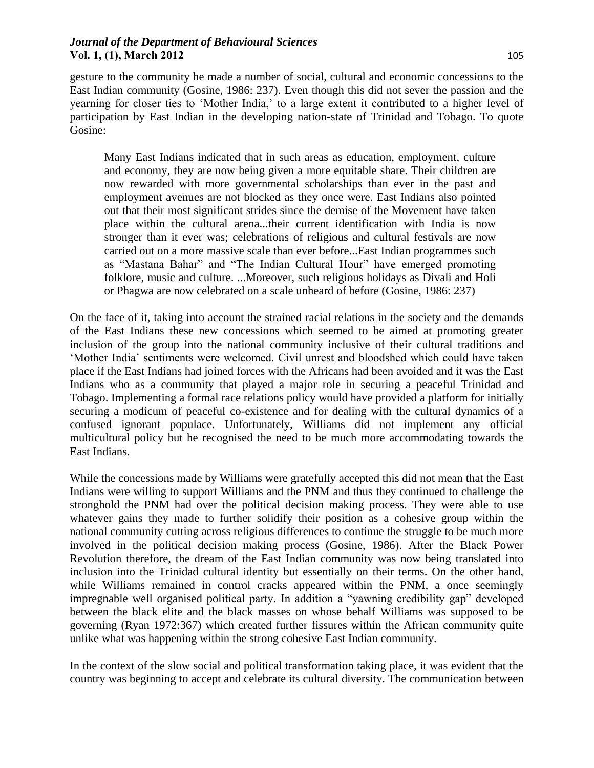gesture to the community he made a number of social, cultural and economic concessions to the East Indian community (Gosine, 1986: 237). Even though this did not sever the passion and the yearning for closer ties to 'Mother India,' to a large extent it contributed to a higher level of participation by East Indian in the developing nation-state of Trinidad and Tobago. To quote Gosine:

Many East Indians indicated that in such areas as education, employment, culture and economy, they are now being given a more equitable share. Their children are now rewarded with more governmental scholarships than ever in the past and employment avenues are not blocked as they once were. East Indians also pointed out that their most significant strides since the demise of the Movement have taken place within the cultural arena...their current identification with India is now stronger than it ever was; celebrations of religious and cultural festivals are now carried out on a more massive scale than ever before...East Indian programmes such as "Mastana Bahar" and "The Indian Cultural Hour" have emerged promoting folklore, music and culture. ...Moreover, such religious holidays as Divali and Holi or Phagwa are now celebrated on a scale unheard of before (Gosine, 1986: 237)

On the face of it, taking into account the strained racial relations in the society and the demands of the East Indians these new concessions which seemed to be aimed at promoting greater inclusion of the group into the national community inclusive of their cultural traditions and 'Mother India' sentiments were welcomed. Civil unrest and bloodshed which could have taken place if the East Indians had joined forces with the Africans had been avoided and it was the East Indians who as a community that played a major role in securing a peaceful Trinidad and Tobago. Implementing a formal race relations policy would have provided a platform for initially securing a modicum of peaceful co-existence and for dealing with the cultural dynamics of a confused ignorant populace. Unfortunately, Williams did not implement any official multicultural policy but he recognised the need to be much more accommodating towards the East Indians.

While the concessions made by Williams were gratefully accepted this did not mean that the East Indians were willing to support Williams and the PNM and thus they continued to challenge the stronghold the PNM had over the political decision making process. They were able to use whatever gains they made to further solidify their position as a cohesive group within the national community cutting across religious differences to continue the struggle to be much more involved in the political decision making process (Gosine, 1986). After the Black Power Revolution therefore, the dream of the East Indian community was now being translated into inclusion into the Trinidad cultural identity but essentially on their terms. On the other hand, while Williams remained in control cracks appeared within the PNM, a once seemingly impregnable well organised political party. In addition a "yawning credibility gap" developed between the black elite and the black masses on whose behalf Williams was supposed to be governing (Ryan 1972:367) which created further fissures within the African community quite unlike what was happening within the strong cohesive East Indian community.

In the context of the slow social and political transformation taking place, it was evident that the country was beginning to accept and celebrate its cultural diversity. The communication between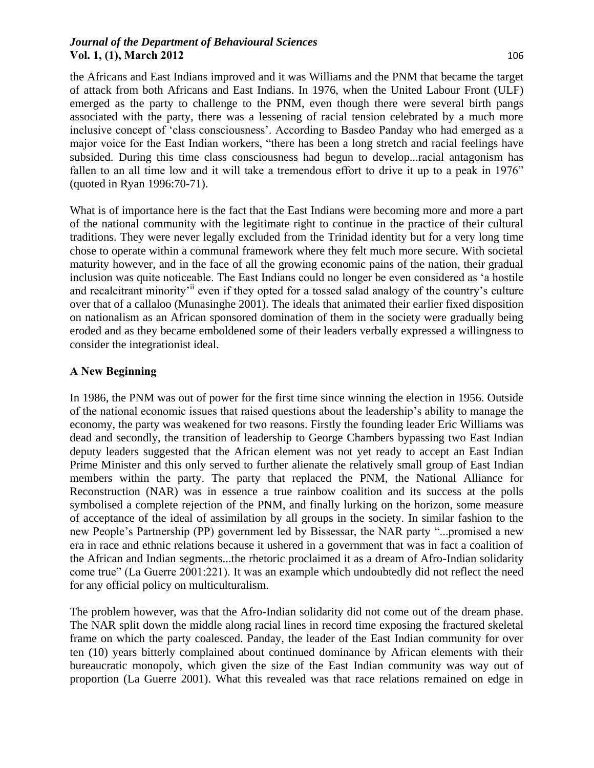the Africans and East Indians improved and it was Williams and the PNM that became the target of attack from both Africans and East Indians. In 1976, when the United Labour Front (ULF) emerged as the party to challenge to the PNM, even though there were several birth pangs associated with the party, there was a lessening of racial tension celebrated by a much more inclusive concept of 'class consciousness'. According to Basdeo Panday who had emerged as a major voice for the East Indian workers, "there has been a long stretch and racial feelings have subsided. During this time class consciousness had begun to develop...racial antagonism has fallen to an all time low and it will take a tremendous effort to drive it up to a peak in 1976" (quoted in Ryan 1996:70-71).

What is of importance here is the fact that the East Indians were becoming more and more a part of the national community with the legitimate right to continue in the practice of their cultural traditions. They were never legally excluded from the Trinidad identity but for a very long time chose to operate within a communal framework where they felt much more secure. With societal maturity however, and in the face of all the growing economic pains of the nation, their gradual inclusion was quite noticeable. The East Indians could no longer be even considered as 'a hostile and recalcitrant minority<sup>'ii</sup> even if they opted for a tossed salad analogy of the country's culture over that of a callaloo (Munasinghe 2001). The ideals that animated their earlier fixed disposition on nationalism as an African sponsored domination of them in the society were gradually being eroded and as they became emboldened some of their leaders verbally expressed a willingness to consider the integrationist ideal.

## **A New Beginning**

In 1986, the PNM was out of power for the first time since winning the election in 1956. Outside of the national economic issues that raised questions about the leadership's ability to manage the economy, the party was weakened for two reasons. Firstly the founding leader Eric Williams was dead and secondly, the transition of leadership to George Chambers bypassing two East Indian deputy leaders suggested that the African element was not yet ready to accept an East Indian Prime Minister and this only served to further alienate the relatively small group of East Indian members within the party. The party that replaced the PNM, the National Alliance for Reconstruction (NAR) was in essence a true rainbow coalition and its success at the polls symbolised a complete rejection of the PNM, and finally lurking on the horizon, some measure of acceptance of the ideal of assimilation by all groups in the society. In similar fashion to the new People's Partnership (PP) government led by Bissessar, the NAR party "...promised a new era in race and ethnic relations because it ushered in a government that was in fact a coalition of the African and Indian segments...the rhetoric proclaimed it as a dream of Afro-Indian solidarity come true" (La Guerre 2001:221). It was an example which undoubtedly did not reflect the need for any official policy on multiculturalism.

The problem however, was that the Afro-Indian solidarity did not come out of the dream phase. The NAR split down the middle along racial lines in record time exposing the fractured skeletal frame on which the party coalesced. Panday, the leader of the East Indian community for over ten (10) years bitterly complained about continued dominance by African elements with their bureaucratic monopoly, which given the size of the East Indian community was way out of proportion (La Guerre 2001). What this revealed was that race relations remained on edge in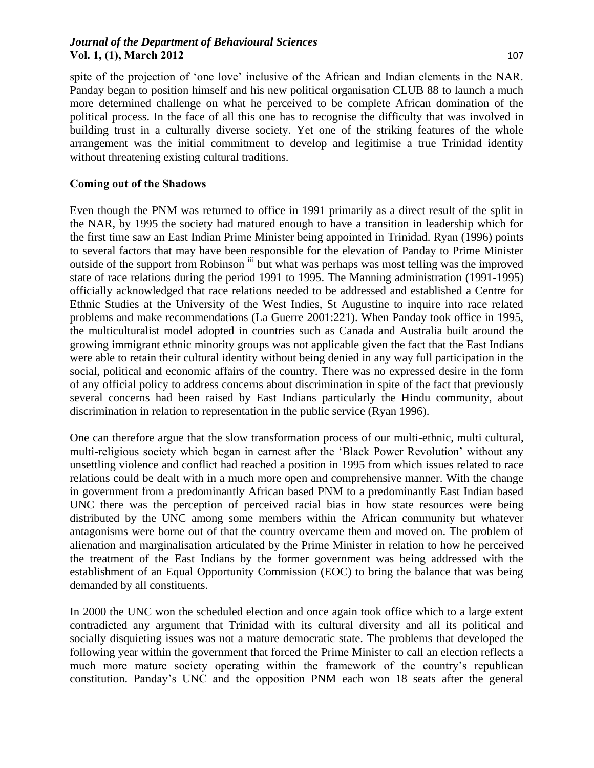spite of the projection of 'one love' inclusive of the African and Indian elements in the NAR. Panday began to position himself and his new political organisation CLUB 88 to launch a much more determined challenge on what he perceived to be complete African domination of the political process. In the face of all this one has to recognise the difficulty that was involved in building trust in a culturally diverse society. Yet one of the striking features of the whole arrangement was the initial commitment to develop and legitimise a true Trinidad identity without threatening existing cultural traditions.

#### **Coming out of the Shadows**

Even though the PNM was returned to office in 1991 primarily as a direct result of the split in the NAR, by 1995 the society had matured enough to have a transition in leadership which for the first time saw an East Indian Prime Minister being appointed in Trinidad. Ryan (1996) points to several factors that may have been responsible for the elevation of Panday to Prime Minister outside of the support from Robinson iii but what was perhaps was most telling was the improved state of race relations during the period 1991 to 1995. The Manning administration (1991-1995) officially acknowledged that race relations needed to be addressed and established a Centre for Ethnic Studies at the University of the West Indies, St Augustine to inquire into race related problems and make recommendations (La Guerre 2001:221). When Panday took office in 1995, the multiculturalist model adopted in countries such as Canada and Australia built around the growing immigrant ethnic minority groups was not applicable given the fact that the East Indians were able to retain their cultural identity without being denied in any way full participation in the social, political and economic affairs of the country. There was no expressed desire in the form of any official policy to address concerns about discrimination in spite of the fact that previously several concerns had been raised by East Indians particularly the Hindu community, about discrimination in relation to representation in the public service (Ryan 1996).

One can therefore argue that the slow transformation process of our multi-ethnic, multi cultural, multi-religious society which began in earnest after the 'Black Power Revolution' without any unsettling violence and conflict had reached a position in 1995 from which issues related to race relations could be dealt with in a much more open and comprehensive manner. With the change in government from a predominantly African based PNM to a predominantly East Indian based UNC there was the perception of perceived racial bias in how state resources were being distributed by the UNC among some members within the African community but whatever antagonisms were borne out of that the country overcame them and moved on. The problem of alienation and marginalisation articulated by the Prime Minister in relation to how he perceived the treatment of the East Indians by the former government was being addressed with the establishment of an Equal Opportunity Commission (EOC) to bring the balance that was being demanded by all constituents.

In 2000 the UNC won the scheduled election and once again took office which to a large extent contradicted any argument that Trinidad with its cultural diversity and all its political and socially disquieting issues was not a mature democratic state. The problems that developed the following year within the government that forced the Prime Minister to call an election reflects a much more mature society operating within the framework of the country's republican constitution. Panday's UNC and the opposition PNM each won 18 seats after the general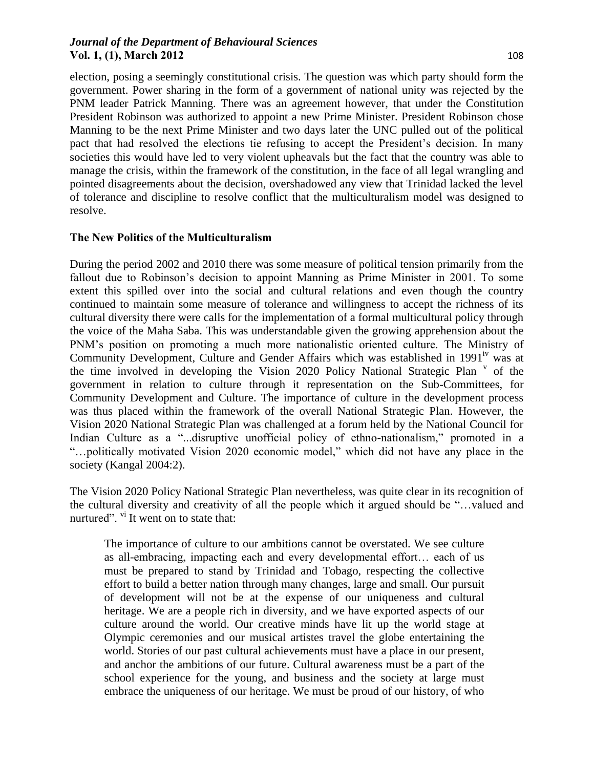election, posing a seemingly constitutional crisis. The question was which party should form the government. Power sharing in the form of a government of national unity was rejected by the PNM leader Patrick Manning. There was an agreement however, that under the Constitution President Robinson was authorized to appoint a new Prime Minister. President Robinson chose Manning to be the next Prime Minister and two days later the UNC pulled out of the political pact that had resolved the elections tie refusing to accept the President's decision. In many societies this would have led to very violent upheavals but the fact that the country was able to manage the crisis, within the framework of the constitution, in the face of all legal wrangling and pointed disagreements about the decision, overshadowed any view that Trinidad lacked the level of tolerance and discipline to resolve conflict that the multiculturalism model was designed to resolve.

#### **The New Politics of the Multiculturalism**

During the period 2002 and 2010 there was some measure of political tension primarily from the fallout due to Robinson's decision to appoint Manning as Prime Minister in 2001. To some extent this spilled over into the social and cultural relations and even though the country continued to maintain some measure of tolerance and willingness to accept the richness of its cultural diversity there were calls for the implementation of a formal multicultural policy through the voice of the Maha Saba. This was understandable given the growing apprehension about the PNM's position on promoting a much more nationalistic oriented culture. The Ministry of Community Development, Culture and Gender Affairs which was established in 1991<sup>iv</sup> was at the time involved in developing the Vision 2020 Policy National Strategic Plan  $\degree$  of the government in relation to culture through it representation on the Sub-Committees, for Community Development and Culture. The importance of culture in the development process was thus placed within the framework of the overall National Strategic Plan. However, the Vision 2020 National Strategic Plan was challenged at a forum held by the National Council for Indian Culture as a "...disruptive unofficial policy of ethno-nationalism," promoted in a "…politically motivated Vision 2020 economic model," which did not have any place in the society (Kangal 2004:2).

The Vision 2020 Policy National Strategic Plan nevertheless, was quite clear in its recognition of the cultural diversity and creativity of all the people which it argued should be "…valued and nurtured". <sup>vi</sup> It went on to state that:

The importance of culture to our ambitions cannot be overstated. We see culture as all-embracing, impacting each and every developmental effort… each of us must be prepared to stand by Trinidad and Tobago, respecting the collective effort to build a better nation through many changes, large and small. Our pursuit of development will not be at the expense of our uniqueness and cultural heritage. We are a people rich in diversity, and we have exported aspects of our culture around the world. Our creative minds have lit up the world stage at Olympic ceremonies and our musical artistes travel the globe entertaining the world. Stories of our past cultural achievements must have a place in our present, and anchor the ambitions of our future. Cultural awareness must be a part of the school experience for the young, and business and the society at large must embrace the uniqueness of our heritage. We must be proud of our history, of who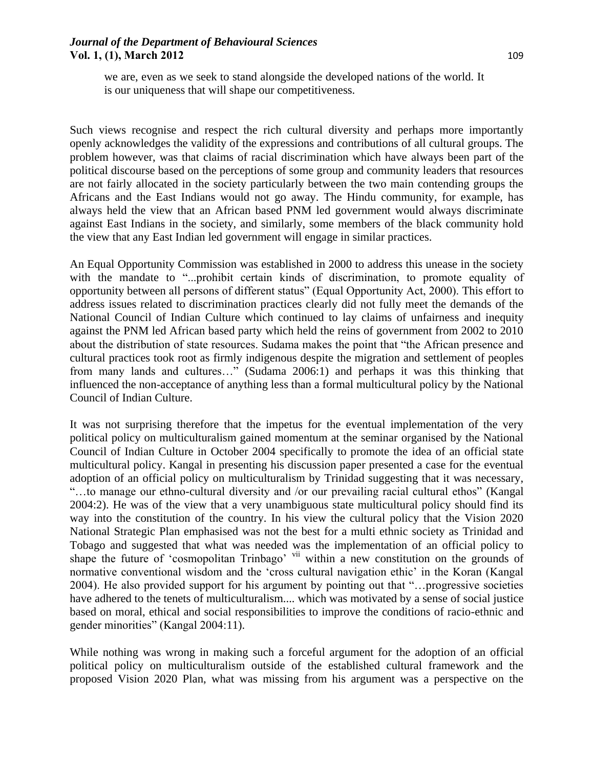we are, even as we seek to stand alongside the developed nations of the world. It is our uniqueness that will shape our competitiveness.

Such views recognise and respect the rich cultural diversity and perhaps more importantly openly acknowledges the validity of the expressions and contributions of all cultural groups. The problem however, was that claims of racial discrimination which have always been part of the political discourse based on the perceptions of some group and community leaders that resources are not fairly allocated in the society particularly between the two main contending groups the Africans and the East Indians would not go away. The Hindu community, for example, has always held the view that an African based PNM led government would always discriminate against East Indians in the society, and similarly, some members of the black community hold the view that any East Indian led government will engage in similar practices.

An Equal Opportunity Commission was established in 2000 to address this unease in the society with the mandate to "...prohibit certain kinds of discrimination, to promote equality of opportunity between all persons of different status" (Equal Opportunity Act, 2000). This effort to address issues related to discrimination practices clearly did not fully meet the demands of the National Council of Indian Culture which continued to lay claims of unfairness and inequity against the PNM led African based party which held the reins of government from 2002 to 2010 about the distribution of state resources. Sudama makes the point that "the African presence and cultural practices took root as firmly indigenous despite the migration and settlement of peoples from many lands and cultures…" (Sudama 2006:1) and perhaps it was this thinking that influenced the non-acceptance of anything less than a formal multicultural policy by the National Council of Indian Culture.

It was not surprising therefore that the impetus for the eventual implementation of the very political policy on multiculturalism gained momentum at the seminar organised by the National Council of Indian Culture in October 2004 specifically to promote the idea of an official state multicultural policy. Kangal in presenting his discussion paper presented a case for the eventual adoption of an official policy on multiculturalism by Trinidad suggesting that it was necessary, "…to manage our ethno-cultural diversity and /or our prevailing racial cultural ethos" (Kangal 2004:2). He was of the view that a very unambiguous state multicultural policy should find its way into the constitution of the country. In his view the cultural policy that the Vision 2020 National Strategic Plan emphasised was not the best for a multi ethnic society as Trinidad and Tobago and suggested that what was needed was the implementation of an official policy to shape the future of 'cosmopolitan Trinbago' vii within a new constitution on the grounds of normative conventional wisdom and the 'cross cultural navigation ethic' in the Koran (Kangal 2004). He also provided support for his argument by pointing out that "…progressive societies have adhered to the tenets of multiculturalism.... which was motivated by a sense of social justice based on moral, ethical and social responsibilities to improve the conditions of racio-ethnic and gender minorities" (Kangal 2004:11).

While nothing was wrong in making such a forceful argument for the adoption of an official political policy on multiculturalism outside of the established cultural framework and the proposed Vision 2020 Plan, what was missing from his argument was a perspective on the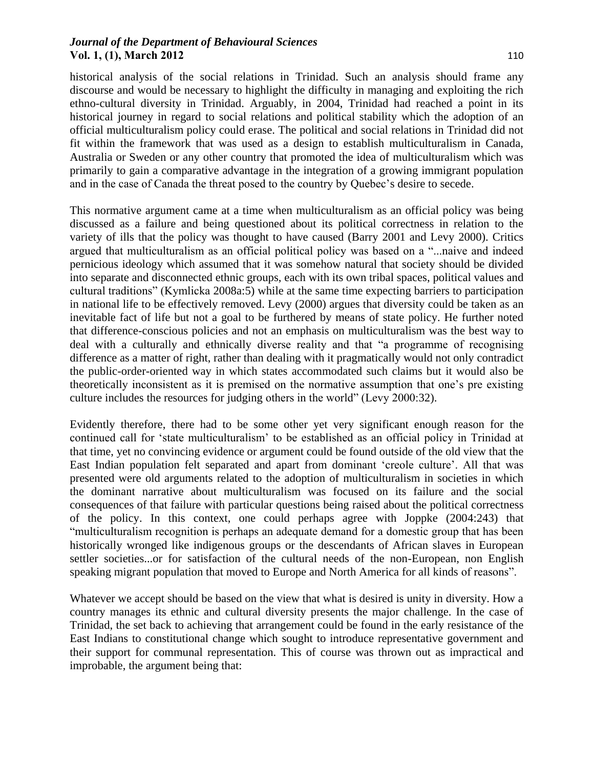historical analysis of the social relations in Trinidad. Such an analysis should frame any discourse and would be necessary to highlight the difficulty in managing and exploiting the rich ethno-cultural diversity in Trinidad. Arguably, in 2004, Trinidad had reached a point in its historical journey in regard to social relations and political stability which the adoption of an official multiculturalism policy could erase. The political and social relations in Trinidad did not fit within the framework that was used as a design to establish multiculturalism in Canada, Australia or Sweden or any other country that promoted the idea of multiculturalism which was primarily to gain a comparative advantage in the integration of a growing immigrant population and in the case of Canada the threat posed to the country by Quebec's desire to secede.

This normative argument came at a time when multiculturalism as an official policy was being discussed as a failure and being questioned about its political correctness in relation to the variety of ills that the policy was thought to have caused (Barry 2001 and Levy 2000). Critics argued that multiculturalism as an official political policy was based on a "...naive and indeed pernicious ideology which assumed that it was somehow natural that society should be divided into separate and disconnected ethnic groups, each with its own tribal spaces, political values and cultural traditions" (Kymlicka 2008a:5) while at the same time expecting barriers to participation in national life to be effectively removed. Levy (2000) argues that diversity could be taken as an inevitable fact of life but not a goal to be furthered by means of state policy. He further noted that difference-conscious policies and not an emphasis on multiculturalism was the best way to deal with a culturally and ethnically diverse reality and that "a programme of recognising difference as a matter of right, rather than dealing with it pragmatically would not only contradict the public-order-oriented way in which states accommodated such claims but it would also be theoretically inconsistent as it is premised on the normative assumption that one's pre existing culture includes the resources for judging others in the world" (Levy 2000:32).

Evidently therefore, there had to be some other yet very significant enough reason for the continued call for 'state multiculturalism' to be established as an official policy in Trinidad at that time, yet no convincing evidence or argument could be found outside of the old view that the East Indian population felt separated and apart from dominant 'creole culture'. All that was presented were old arguments related to the adoption of multiculturalism in societies in which the dominant narrative about multiculturalism was focused on its failure and the social consequences of that failure with particular questions being raised about the political correctness of the policy. In this context, one could perhaps agree with Joppke (2004:243) that "multiculturalism recognition is perhaps an adequate demand for a domestic group that has been historically wronged like indigenous groups or the descendants of African slaves in European settler societies...or for satisfaction of the cultural needs of the non-European, non English speaking migrant population that moved to Europe and North America for all kinds of reasons".

Whatever we accept should be based on the view that what is desired is unity in diversity. How a country manages its ethnic and cultural diversity presents the major challenge. In the case of Trinidad, the set back to achieving that arrangement could be found in the early resistance of the East Indians to constitutional change which sought to introduce representative government and their support for communal representation. This of course was thrown out as impractical and improbable, the argument being that: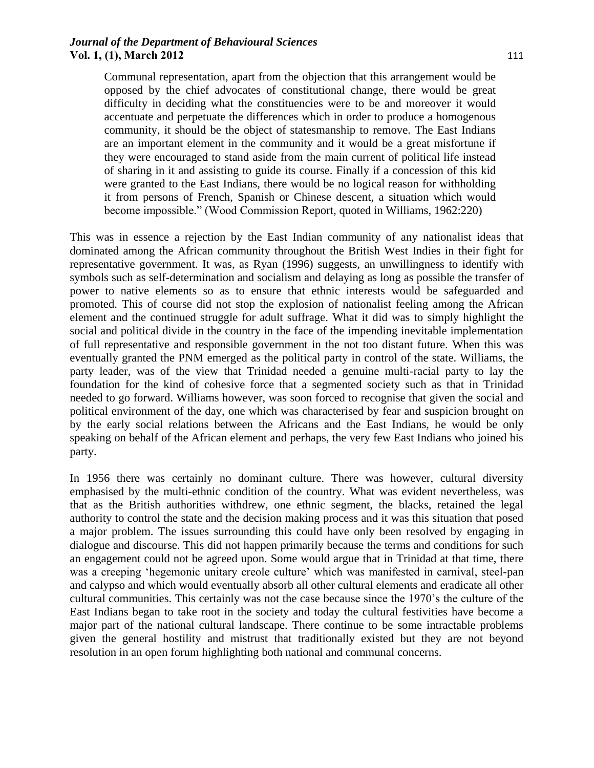Communal representation, apart from the objection that this arrangement would be opposed by the chief advocates of constitutional change, there would be great difficulty in deciding what the constituencies were to be and moreover it would accentuate and perpetuate the differences which in order to produce a homogenous community, it should be the object of statesmanship to remove. The East Indians are an important element in the community and it would be a great misfortune if they were encouraged to stand aside from the main current of political life instead of sharing in it and assisting to guide its course. Finally if a concession of this kid were granted to the East Indians, there would be no logical reason for withholding it from persons of French, Spanish or Chinese descent, a situation which would become impossible." (Wood Commission Report, quoted in Williams, 1962:220)

This was in essence a rejection by the East Indian community of any nationalist ideas that dominated among the African community throughout the British West Indies in their fight for representative government. It was, as Ryan (1996) suggests, an unwillingness to identify with symbols such as self-determination and socialism and delaying as long as possible the transfer of power to native elements so as to ensure that ethnic interests would be safeguarded and promoted. This of course did not stop the explosion of nationalist feeling among the African element and the continued struggle for adult suffrage. What it did was to simply highlight the social and political divide in the country in the face of the impending inevitable implementation of full representative and responsible government in the not too distant future. When this was eventually granted the PNM emerged as the political party in control of the state. Williams, the party leader, was of the view that Trinidad needed a genuine multi-racial party to lay the foundation for the kind of cohesive force that a segmented society such as that in Trinidad needed to go forward. Williams however, was soon forced to recognise that given the social and political environment of the day, one which was characterised by fear and suspicion brought on by the early social relations between the Africans and the East Indians, he would be only speaking on behalf of the African element and perhaps, the very few East Indians who joined his party.

In 1956 there was certainly no dominant culture. There was however, cultural diversity emphasised by the multi-ethnic condition of the country. What was evident nevertheless, was that as the British authorities withdrew, one ethnic segment, the blacks, retained the legal authority to control the state and the decision making process and it was this situation that posed a major problem. The issues surrounding this could have only been resolved by engaging in dialogue and discourse. This did not happen primarily because the terms and conditions for such an engagement could not be agreed upon. Some would argue that in Trinidad at that time, there was a creeping 'hegemonic unitary creole culture' which was manifested in carnival, steel-pan and calypso and which would eventually absorb all other cultural elements and eradicate all other cultural communities. This certainly was not the case because since the 1970's the culture of the East Indians began to take root in the society and today the cultural festivities have become a major part of the national cultural landscape. There continue to be some intractable problems given the general hostility and mistrust that traditionally existed but they are not beyond resolution in an open forum highlighting both national and communal concerns.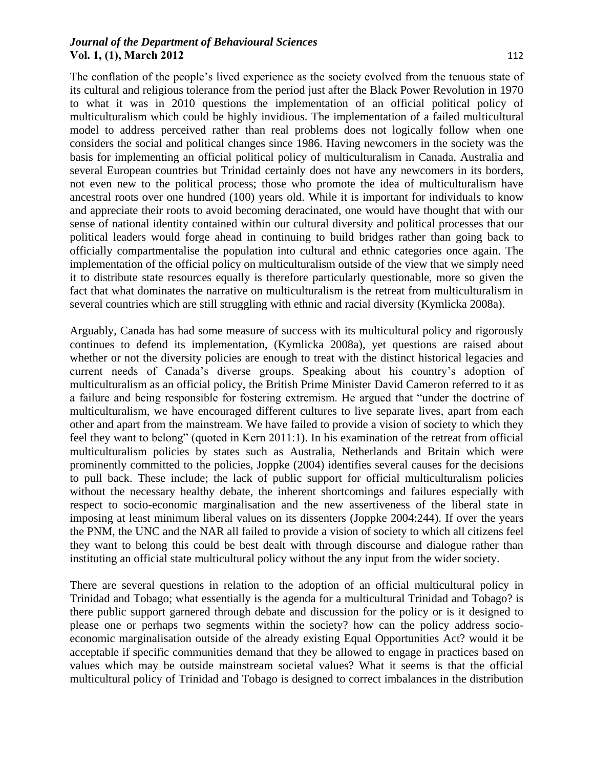The conflation of the people's lived experience as the society evolved from the tenuous state of its cultural and religious tolerance from the period just after the Black Power Revolution in 1970 to what it was in 2010 questions the implementation of an official political policy of multiculturalism which could be highly invidious. The implementation of a failed multicultural model to address perceived rather than real problems does not logically follow when one considers the social and political changes since 1986. Having newcomers in the society was the basis for implementing an official political policy of multiculturalism in Canada, Australia and several European countries but Trinidad certainly does not have any newcomers in its borders, not even new to the political process; those who promote the idea of multiculturalism have ancestral roots over one hundred (100) years old. While it is important for individuals to know and appreciate their roots to avoid becoming deracinated, one would have thought that with our sense of national identity contained within our cultural diversity and political processes that our political leaders would forge ahead in continuing to build bridges rather than going back to officially compartmentalise the population into cultural and ethnic categories once again. The implementation of the official policy on multiculturalism outside of the view that we simply need it to distribute state resources equally is therefore particularly questionable, more so given the fact that what dominates the narrative on multiculturalism is the retreat from multiculturalism in several countries which are still struggling with ethnic and racial diversity (Kymlicka 2008a).

Arguably, Canada has had some measure of success with its multicultural policy and rigorously continues to defend its implementation, (Kymlicka 2008a), yet questions are raised about whether or not the diversity policies are enough to treat with the distinct historical legacies and current needs of Canada's diverse groups. Speaking about his country's adoption of multiculturalism as an official policy, the British Prime Minister David Cameron referred to it as a failure and being responsible for fostering extremism. He argued that "under the doctrine of multiculturalism, we have encouraged different cultures to live separate lives, apart from each other and apart from the mainstream. We have failed to provide a vision of society to which they feel they want to belong" (quoted in Kern 2011:1). In his examination of the retreat from official multiculturalism policies by states such as Australia, Netherlands and Britain which were prominently committed to the policies, Joppke (2004) identifies several causes for the decisions to pull back. These include; the lack of public support for official multiculturalism policies without the necessary healthy debate, the inherent shortcomings and failures especially with respect to socio-economic marginalisation and the new assertiveness of the liberal state in imposing at least minimum liberal values on its dissenters (Joppke 2004:244). If over the years the PNM, the UNC and the NAR all failed to provide a vision of society to which all citizens feel they want to belong this could be best dealt with through discourse and dialogue rather than instituting an official state multicultural policy without the any input from the wider society.

There are several questions in relation to the adoption of an official multicultural policy in Trinidad and Tobago; what essentially is the agenda for a multicultural Trinidad and Tobago? is there public support garnered through debate and discussion for the policy or is it designed to please one or perhaps two segments within the society? how can the policy address socioeconomic marginalisation outside of the already existing Equal Opportunities Act? would it be acceptable if specific communities demand that they be allowed to engage in practices based on values which may be outside mainstream societal values? What it seems is that the official multicultural policy of Trinidad and Tobago is designed to correct imbalances in the distribution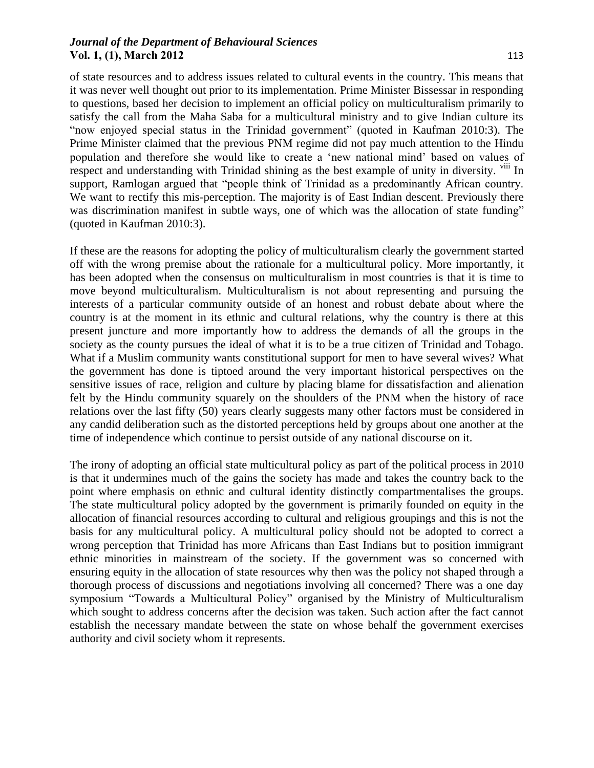of state resources and to address issues related to cultural events in the country. This means that it was never well thought out prior to its implementation. Prime Minister Bissessar in responding to questions, based her decision to implement an official policy on multiculturalism primarily to satisfy the call from the Maha Saba for a multicultural ministry and to give Indian culture its "now enjoyed special status in the Trinidad government" (quoted in Kaufman 2010:3). The Prime Minister claimed that the previous PNM regime did not pay much attention to the Hindu population and therefore she would like to create a 'new national mind' based on values of respect and understanding with Trinidad shining as the best example of unity in diversity. <sup>viii</sup> In support, Ramlogan argued that "people think of Trinidad as a predominantly African country. We want to rectify this mis-perception. The majority is of East Indian descent. Previously there was discrimination manifest in subtle ways, one of which was the allocation of state funding" (quoted in Kaufman 2010:3).

If these are the reasons for adopting the policy of multiculturalism clearly the government started off with the wrong premise about the rationale for a multicultural policy. More importantly, it has been adopted when the consensus on multiculturalism in most countries is that it is time to move beyond multiculturalism. Multiculturalism is not about representing and pursuing the interests of a particular community outside of an honest and robust debate about where the country is at the moment in its ethnic and cultural relations, why the country is there at this present juncture and more importantly how to address the demands of all the groups in the society as the county pursues the ideal of what it is to be a true citizen of Trinidad and Tobago. What if a Muslim community wants constitutional support for men to have several wives? What the government has done is tiptoed around the very important historical perspectives on the sensitive issues of race, religion and culture by placing blame for dissatisfaction and alienation felt by the Hindu community squarely on the shoulders of the PNM when the history of race relations over the last fifty (50) years clearly suggests many other factors must be considered in any candid deliberation such as the distorted perceptions held by groups about one another at the time of independence which continue to persist outside of any national discourse on it.

The irony of adopting an official state multicultural policy as part of the political process in 2010 is that it undermines much of the gains the society has made and takes the country back to the point where emphasis on ethnic and cultural identity distinctly compartmentalises the groups. The state multicultural policy adopted by the government is primarily founded on equity in the allocation of financial resources according to cultural and religious groupings and this is not the basis for any multicultural policy. A multicultural policy should not be adopted to correct a wrong perception that Trinidad has more Africans than East Indians but to position immigrant ethnic minorities in mainstream of the society. If the government was so concerned with ensuring equity in the allocation of state resources why then was the policy not shaped through a thorough process of discussions and negotiations involving all concerned? There was a one day symposium "Towards a Multicultural Policy" organised by the Ministry of Multiculturalism which sought to address concerns after the decision was taken. Such action after the fact cannot establish the necessary mandate between the state on whose behalf the government exercises authority and civil society whom it represents.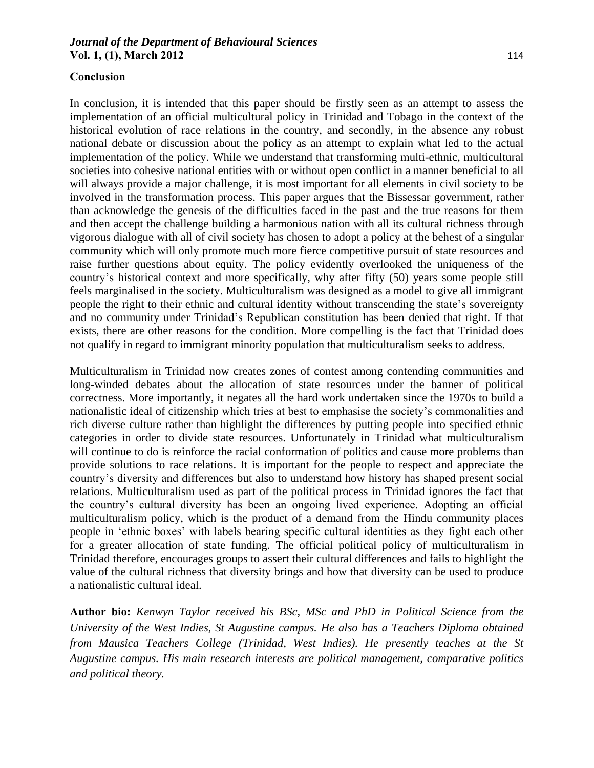In conclusion, it is intended that this paper should be firstly seen as an attempt to assess the implementation of an official multicultural policy in Trinidad and Tobago in the context of the historical evolution of race relations in the country, and secondly, in the absence any robust national debate or discussion about the policy as an attempt to explain what led to the actual implementation of the policy. While we understand that transforming multi-ethnic, multicultural societies into cohesive national entities with or without open conflict in a manner beneficial to all will always provide a major challenge, it is most important for all elements in civil society to be involved in the transformation process. This paper argues that the Bissessar government, rather than acknowledge the genesis of the difficulties faced in the past and the true reasons for them and then accept the challenge building a harmonious nation with all its cultural richness through vigorous dialogue with all of civil society has chosen to adopt a policy at the behest of a singular community which will only promote much more fierce competitive pursuit of state resources and raise further questions about equity. The policy evidently overlooked the uniqueness of the country's historical context and more specifically, why after fifty (50) years some people still feels marginalised in the society. Multiculturalism was designed as a model to give all immigrant people the right to their ethnic and cultural identity without transcending the state's sovereignty and no community under Trinidad's Republican constitution has been denied that right. If that exists, there are other reasons for the condition. More compelling is the fact that Trinidad does not qualify in regard to immigrant minority population that multiculturalism seeks to address.

Multiculturalism in Trinidad now creates zones of contest among contending communities and long-winded debates about the allocation of state resources under the banner of political correctness. More importantly, it negates all the hard work undertaken since the 1970s to build a nationalistic ideal of citizenship which tries at best to emphasise the society's commonalities and rich diverse culture rather than highlight the differences by putting people into specified ethnic categories in order to divide state resources. Unfortunately in Trinidad what multiculturalism will continue to do is reinforce the racial conformation of politics and cause more problems than provide solutions to race relations. It is important for the people to respect and appreciate the country's diversity and differences but also to understand how history has shaped present social relations. Multiculturalism used as part of the political process in Trinidad ignores the fact that the country's cultural diversity has been an ongoing lived experience. Adopting an official multiculturalism policy, which is the product of a demand from the Hindu community places people in 'ethnic boxes' with labels bearing specific cultural identities as they fight each other for a greater allocation of state funding. The official political policy of multiculturalism in Trinidad therefore, encourages groups to assert their cultural differences and fails to highlight the value of the cultural richness that diversity brings and how that diversity can be used to produce a nationalistic cultural ideal.

**Author bio:** *Kenwyn Taylor received his BSc, MSc and PhD in Political Science from the University of the West Indies, St Augustine campus. He also has a Teachers Diploma obtained from Mausica Teachers College (Trinidad, West Indies). He presently teaches at the St Augustine campus. His main research interests are political management, comparative politics and political theory.*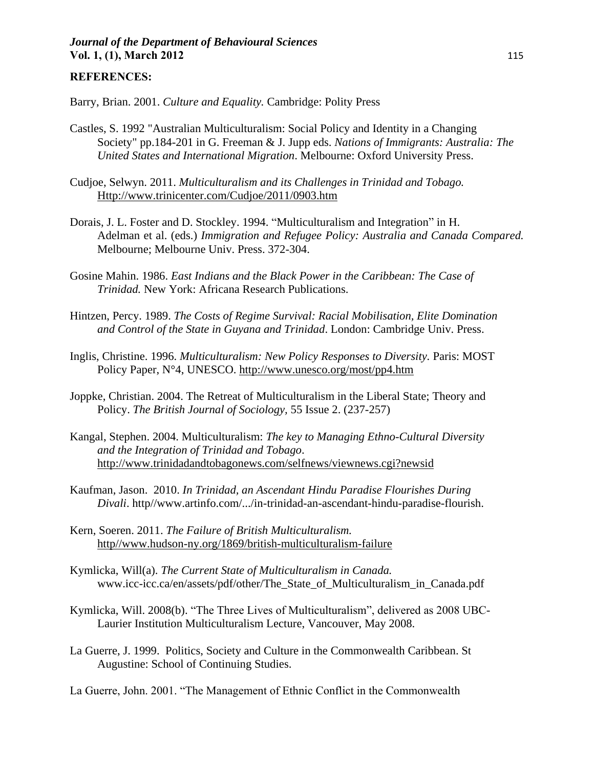#### **REFERENCES:**

Barry, Brian. 2001. *Culture and Equality.* Cambridge: Polity Press

- Castles, S. 1992 "Australian Multiculturalism: Social Policy and Identity in a Changing Society" pp.184-201 in G. Freeman & J. Jupp eds. *Nations of Immigrants: Australia: The United States and International Migration*. Melbourne: Oxford University Press.
- Cudjoe, Selwyn. 2011. *Multiculturalism and its Challenges in Trinidad and Tobago.* Http://www.trinicenter.com/Cudjoe/2011/0903.htm
- Dorais, J. L. Foster and D. Stockley. 1994. "Multiculturalism and Integration" in H. Adelman et al. (eds.) *Immigration and Refugee Policy: Australia and Canada Compared.* Melbourne; Melbourne Univ. Press. 372-304.
- Gosine Mahin. 1986. *East Indians and the Black Power in the Caribbean: The Case of Trinidad.* New York: Africana Research Publications.
- Hintzen, Percy. 1989. *The Costs of Regime Survival: Racial Mobilisation, Elite Domination and Control of the State in Guyana and Trinidad*. London: Cambridge Univ. Press.
- Inglis, Christine. 1996. *Multiculturalism: New Policy Responses to Diversity.* Paris: MOST Policy Paper, N°4, UNESCO.<http://www.unesco.org/most/pp4.htm>
- Joppke, Christian. 2004. The Retreat of Multiculturalism in the Liberal State; Theory and Policy. *The British Journal of Sociology,* 55 Issue 2. (237-257)
- Kangal, Stephen. 2004. Multiculturalism: *The key to Managing Ethno-Cultural Diversity and the Integration of Trinidad and Tobago*. http://www.trinidadandtobagonews.com/selfnews/viewnews.cgi?newsid
- Kaufman, Jason. 2010. *In Trinidad, an Ascendant Hindu Paradise Flourishes During Divali*. http//www.artinfo.com/.../in-trinidad-an-ascendant-hindu-paradise-flourish.
- Kern, Soeren. 2011. *The Failure of British Multiculturalism.* http//www.hudson-ny.org/1869/british-multiculturalism-failure
- Kymlicka, Will(a). *The Current State of Multiculturalism in Canada.*  www.icc-icc.ca/en/assets/pdf/other/The\_State\_of\_Multiculturalism\_in\_Canada.pdf
- Kymlicka, Will. 2008(b). "The Three Lives of Multiculturalism", delivered as 2008 UBC-Laurier Institution Multiculturalism Lecture, Vancouver, May 2008.
- La Guerre, J. 1999. Politics, Society and Culture in the Commonwealth Caribbean. St Augustine: School of Continuing Studies.
- La Guerre, John. 2001. "The Management of Ethnic Conflict in the Commonwealth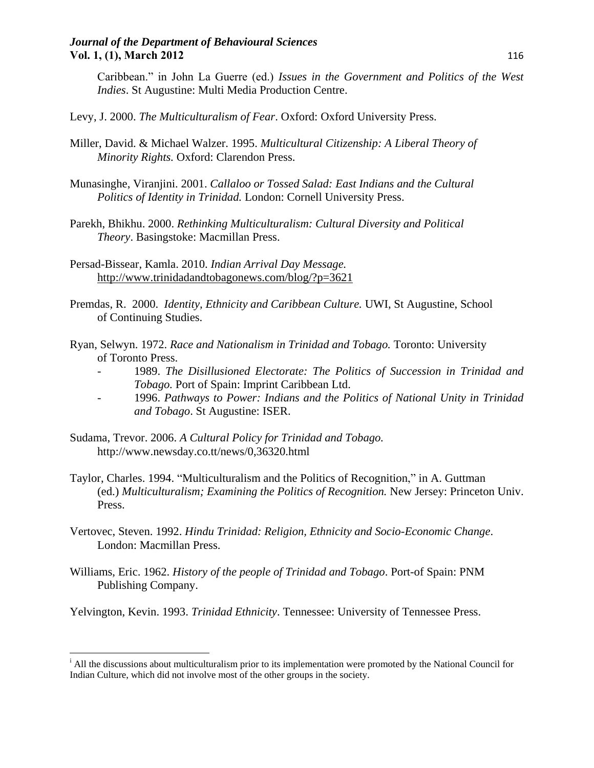Caribbean." in John La Guerre (ed.) *Issues in the Government and Politics of the West Indies*. St Augustine: Multi Media Production Centre.

- Levy, J. 2000. *The Multiculturalism of Fear*. Oxford: Oxford University Press.
- Miller, David. & Michael Walzer. 1995. *Multicultural Citizenship: A Liberal Theory of Minority Rights.* Oxford: Clarendon Press.
- Munasinghe, Viranjini. 2001. *Callaloo or Tossed Salad: East Indians and the Cultural Politics of Identity in Trinidad.* London: Cornell University Press.
- Parekh, Bhikhu. 2000. *Rethinking Multiculturalism: Cultural Diversity and Political Theory*. Basingstoke: Macmillan Press.
- Persad-Bissear, Kamla. 2010. *Indian Arrival Day Message.* <http://www.trinidadandtobagonews.com/blog/?p=3621>
- Premdas, R. 2000. *Identity, Ethnicity and Caribbean Culture.* UWI, St Augustine, School of Continuing Studies.
- Ryan, Selwyn. 1972. *Race and Nationalism in Trinidad and Tobago.* Toronto: University of Toronto Press.
	- 1989. *The Disillusioned Electorate: The Politics of Succession in Trinidad and Tobago.* Port of Spain: Imprint Caribbean Ltd.
	- 1996. *Pathways to Power: Indians and the Politics of National Unity in Trinidad and Tobago*. St Augustine: ISER.
- Sudama, Trevor. 2006. *A Cultural Policy for Trinidad and Tobago.* http://www.newsday.co.tt/news/0,36320.html

 $\overline{\phantom{a}}$ 

- Taylor, Charles. 1994. "Multiculturalism and the Politics of Recognition," in A. Guttman (ed.) *Multiculturalism; Examining the Politics of Recognition.* New Jersey: Princeton Univ. Press.
- Vertovec, Steven. 1992. *Hindu Trinidad: Religion, Ethnicity and Socio-Economic Change*. London: Macmillan Press.
- Williams, Eric. 1962. *History of the people of Trinidad and Tobago*. Port-of Spain: PNM Publishing Company.
- Yelvington, Kevin. 1993. *Trinidad Ethnicity*. Tennessee: University of Tennessee Press.

<sup>&</sup>lt;sup>i</sup> All the discussions about multiculturalism prior to its implementation were promoted by the National Council for Indian Culture, which did not involve most of the other groups in the society.